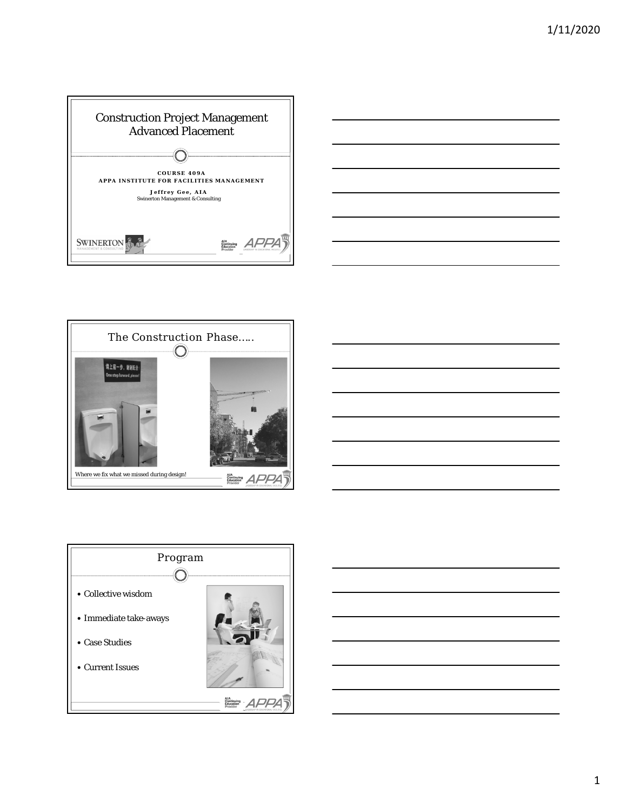







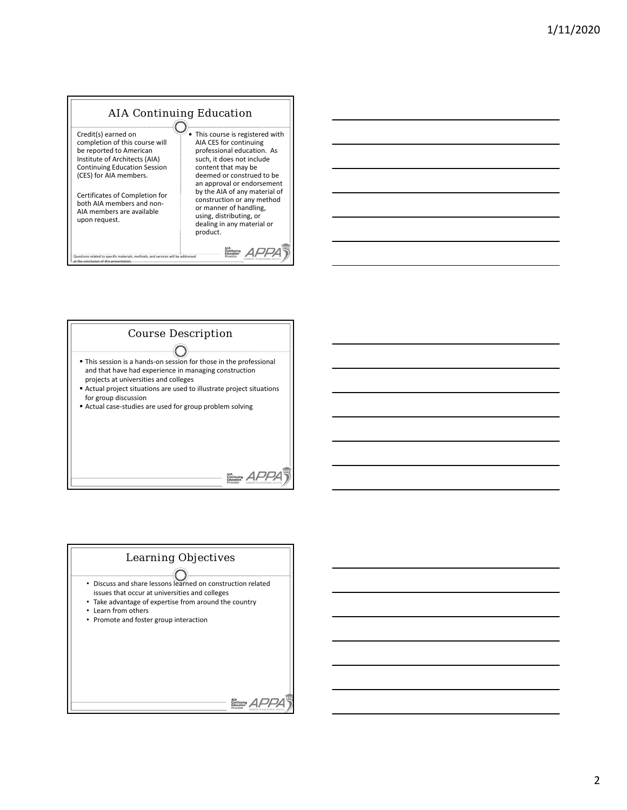# AIA Continuing Education

Credit(s) earned on completion of this course will be reported to American Institute of Architects (AIA) Continuing Education Session (CES) for AIA members.

Certificates of Completion for both AIA members and non-AIA members are available upon request.

|<br>| related to specific materials, methods, and services will be addressed at the conclusion of this presentation.

 This course is registered with AIA CES for continuing professional education. As such, it does not include content that may be deemed or construed to be an approval or endorsement by the AIA of any material of construction or any method or manner of handling, using, distributing, or dealing in any material or product.

AIA<br>Continuing APPA



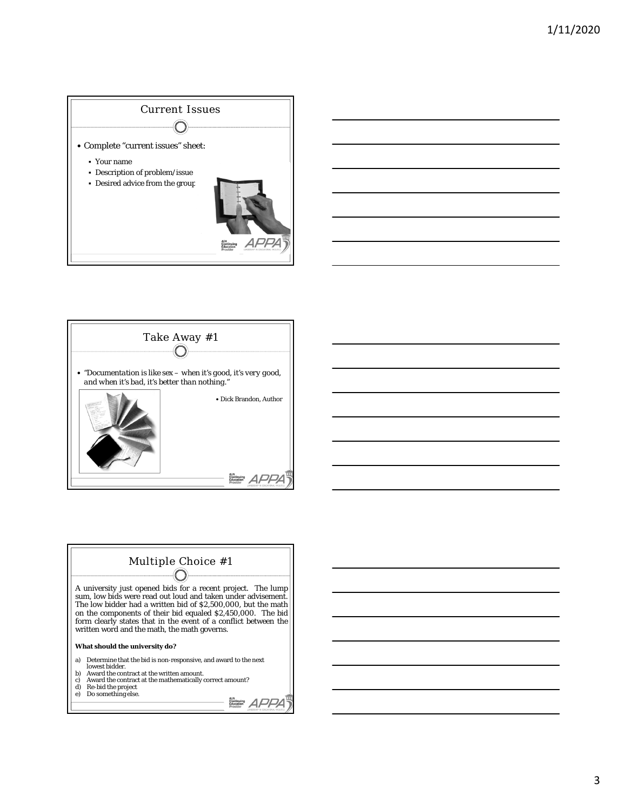





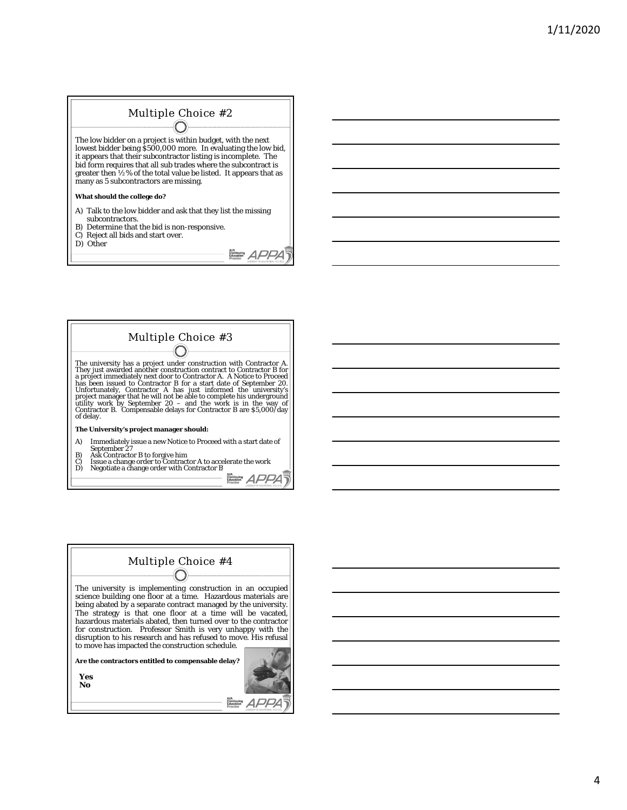#### Multiple Choice #2 (↑

The low bidder on a project is within budget, with the next lowest bidder being \$500,000 more. In evaluating the low bid, it appears that their subcontractor listing is incomplete. The bid form requires that all sub trades where the subcontract is greater then ½% of the total value be listed. It appears that as many as 5 subcontractors are missing.

#### **What should the college do?**

- A) Talk to the low bidder and ask that they list the missing subcontractors.
- B) Determine that the bid is non-responsive. C) Reject all bids and start over.
- D) Other

The university has a project under construction with Contractor A. They just awarded another construction contract to Contractor B for a project immediately next door to Contractor A. A Notice to Proceed has been issued to Multiple Choice #3

**The University's project manager should:**

- A) Immediately issue a new Notice to Proceed with a start date of September 27<br>B) Ask Contractor B to forgive him<br>C) Issue a change order to Contractor A to accelerate the work<br>D) Negotiate a change order with Contractor B
- 
- 

AIA<br>Education *APPA* 

AIA<br>Education *APPA* 



**Yes No**

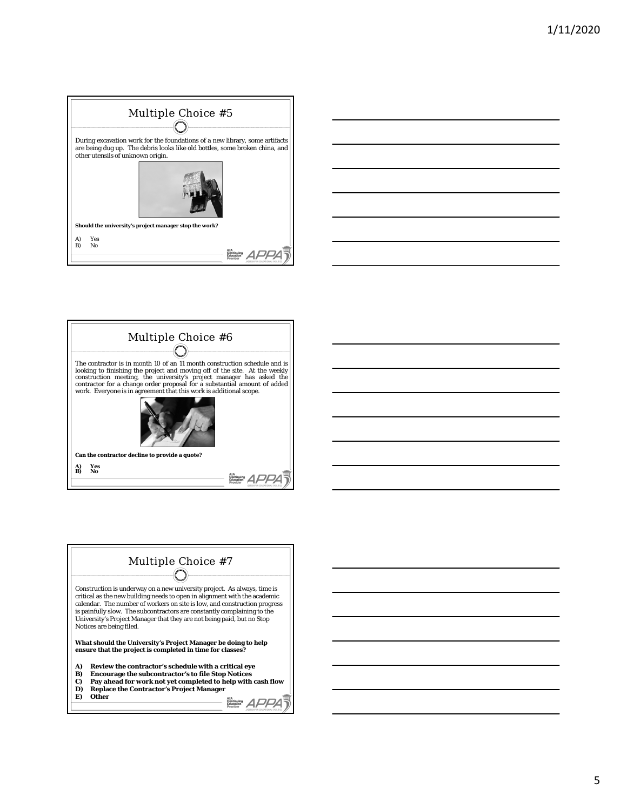







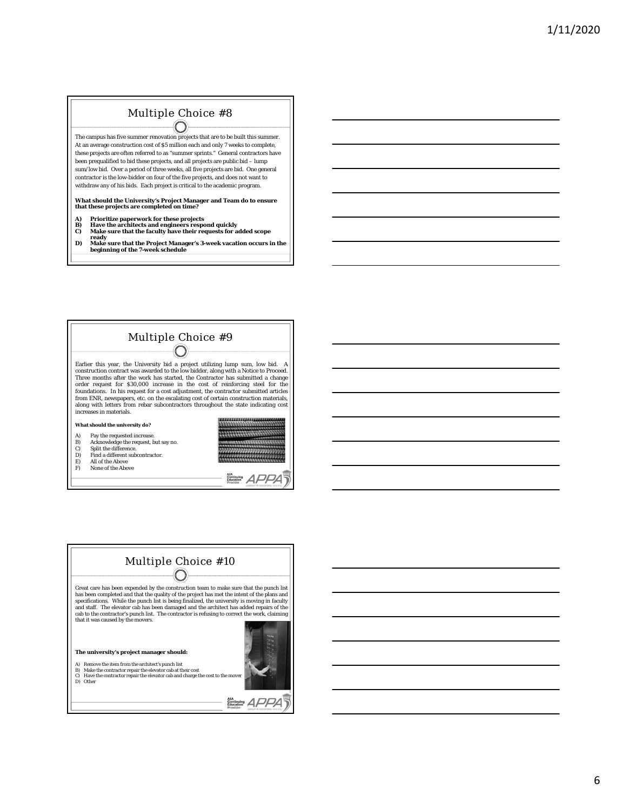## Multiple Choice #8

 $\left(\begin{array}{c} \end{array}\right)$ The campus has five summer renovation projects that are to be built this summer. At an average construction cost of \$5 million each and only 7 weeks to complete, these projects are often referred to as "summer sprints." General contractors have been prequalified to bid these projects, and all projects are public bid – lump sum/low bid. Over a period of three weeks, all five projects are bid. One general contractor is the low-bidder on four of the five projects, and does not want to withdraw any of his bids. Each project is critical to the academic program.

# **What should the University's Project Manager and Team do to ensure that these projects are completed on time?**

- 
- **A) Prioritize paperwork for these projects B) Have the architects and engineers respond quickly C) Make sure that the faculty have their requests for added scope**
- 
- **ready D) Make sure that the Project Manager's 3-week vacation occurs in the beginning of the 7-week schedule**

Multiple Choice #9 Earlier this year, the University bid a project utilizing lump sum, low bid. A construction contract was awarded to the low bidder, along with a Notice to Proceed. Three months after the work has started, the Contractor has submitted a change order request for \$30,000 increase in the cost of reinforcing steel for the foundations. In his request for a cost adjustment, the contractor submitted articles from ENR, newspapers, etc. on the escalating cost of certain construction materials, along with letters from rebar subcontractors throughout the state indicating cost increases in materials. **What should the university do?** 8888888888888888888 111111111111111 A) Pay the requested increase. B) Acknowledge the request, but say no. C) Split the difference. D) Find a different subcontractor.<br>
E) All of the Above<br>
F) None of the Above

- E) All of the Above F) None of the Above
- 





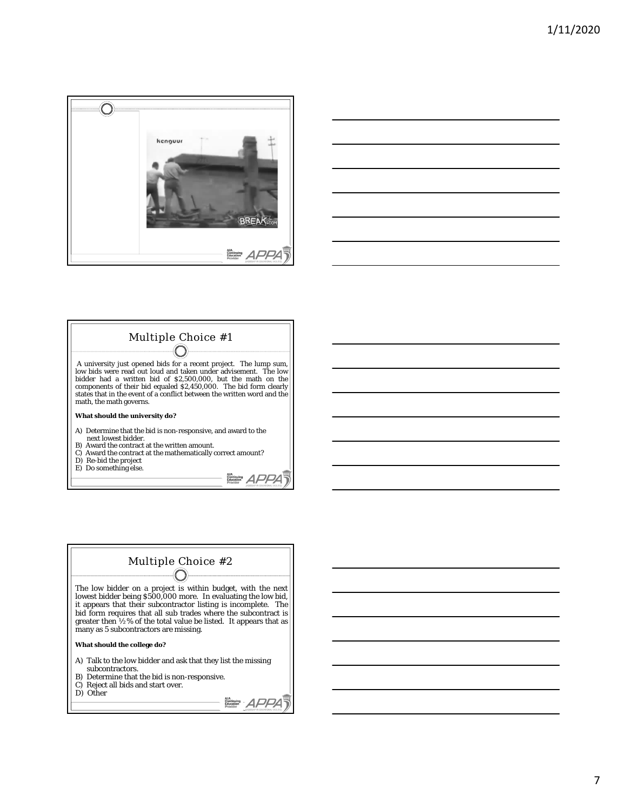





D) Re-bid the project E) Do something else.

AIA<br>Continuing APPA



D) Other

AIA<br>Continuing APPA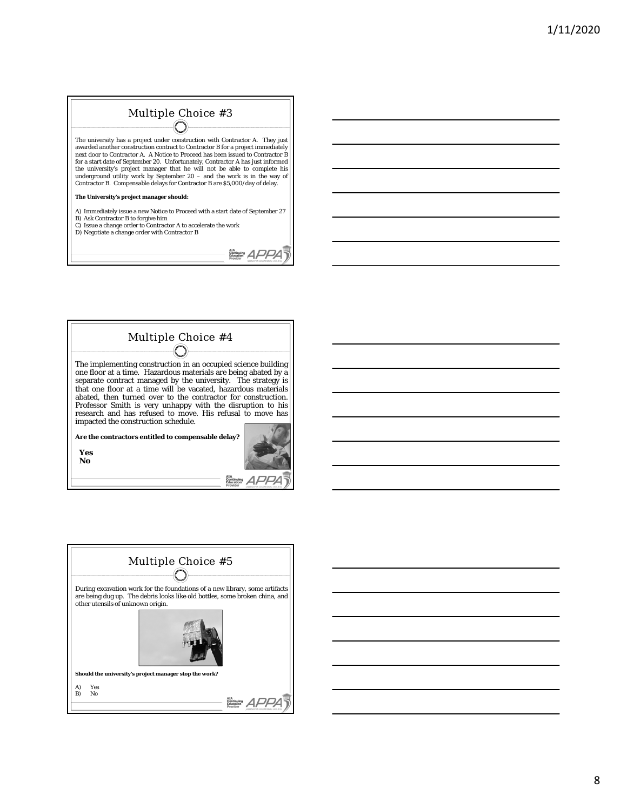### Multiple Choice #3  $\bigcap$

The university has a project under construction with Contractor A. They just<br>awarded another construction contract to Contractor B for a project immediately<br>next door to Contractor A. A Notice to Proceed has been issued for a start date of September 20. Unfortunately, Contractor A has just informed the university's project manager that he will not be able to complete his underground utility work by September 20 – and the work is in the way of Contractor B. Compensable delays for Contractor B are \$5,000/day of delay.

**The University's project manager should:**

A) Immediately issue a new Notice to Proceed with a start date of September 27 B) Ask Contractor B to forgive him

C) Issue a change order to Contractor A to accelerate the work D) Negotiate a change order with Contractor B

AIA<br>Education APPA

 $\sqrt{2}$  $\mathcal{A}$  PPA $\overline{\mathcal{A}}$ 

| Multiple Choice #4                                                                                                                                                                            |
|-----------------------------------------------------------------------------------------------------------------------------------------------------------------------------------------------|
| The implementing construction in an occupied science building<br>one floor at a time. Hazardous materials are being abated by a                                                               |
| separate contract managed by the university. The strategy is<br>that one floor at a time will be vacated, hazardous materials<br>abated, then turned over to the contractor for construction. |
| Professor Smith is very unhappy with the disruption to his<br>research and has refused to move. His refusal to move has<br>impacted the construction schedule.                                |
| Are the contractors entitled to compensable delay?                                                                                                                                            |
| Yes<br>No                                                                                                                                                                                     |

| Multiple Choice #5                                                                                                                                                                              |  |  |  |
|-------------------------------------------------------------------------------------------------------------------------------------------------------------------------------------------------|--|--|--|
| During excavation work for the foundations of a new library, some artifacts<br>are being dug up. The debris looks like old bottles, some broken china, and<br>other utensils of unknown origin. |  |  |  |
|                                                                                                                                                                                                 |  |  |  |
| Should the university's project manager stop the work?                                                                                                                                          |  |  |  |
| Yes<br>A)<br>No<br>B)                                                                                                                                                                           |  |  |  |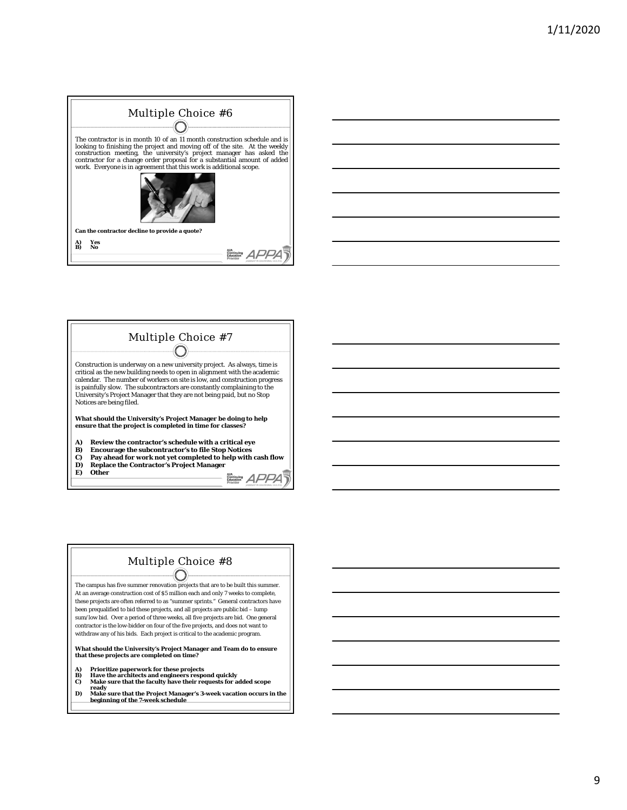







**ready D) Make sure that the Project Manager's 3-week vacation occurs in the beginning of the 7-week schedule**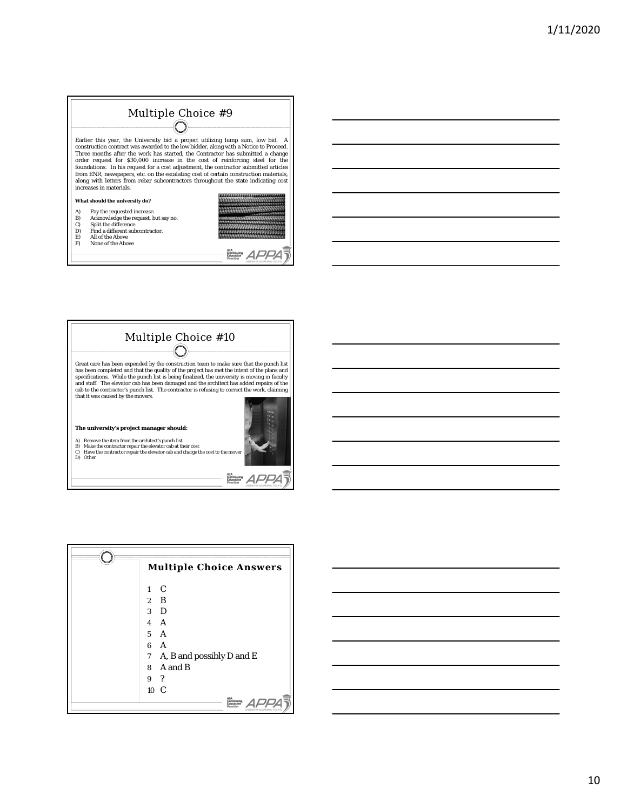## Multiple Choice #9  $\bigcirc$

Earlier this year, the University bid a project utilizing lump sum, low bid. A construction contract was awarded to the low bidder, along with a Notice to Proceed. There months after the work has started, the Contractor ha

#### **What should the university do?**

- 
- A) Pay the requested increase. B) Acknowledge the request, but say no. C) Split the difference.
- D) Find a different subcontractor. E) All of the Above F) None of the Above
- 



,,,,,,,,,,,,,,,,,,,,,,,,,,,,,, annier er fre

 $R_{\text{Costation}}^{\text{AL}}$ 

|                                                                                                                                                                                                                                                                                                                                                                                                                                                                                 | Multiple Choice #10                                                                                                                                                                                               |
|---------------------------------------------------------------------------------------------------------------------------------------------------------------------------------------------------------------------------------------------------------------------------------------------------------------------------------------------------------------------------------------------------------------------------------------------------------------------------------|-------------------------------------------------------------------------------------------------------------------------------------------------------------------------------------------------------------------|
| Great care has been expended by the construction team to make sure that the punch list<br>has been completed and that the quality of the project has met the intent of the plans and<br>specifications. While the punch list is being finalized, the university is moving in faculty<br>and staff. The elevator cab has been damaged and the architect has added repairs of the<br>cab to the contractor's punch list. The contractor is refusing to correct the work, claiming |                                                                                                                                                                                                                   |
|                                                                                                                                                                                                                                                                                                                                                                                                                                                                                 | that it was caused by the movers.<br>The university's project manager should:                                                                                                                                     |
|                                                                                                                                                                                                                                                                                                                                                                                                                                                                                 | Remove the item from the architect's punch list<br>A)<br>Make the contractor repair the elevator cab at their cost<br>B)<br>Have the contractor repair the elevator cab and charge the cost to the mover<br>Other |

|                  | <b>Multiple Choice Answers</b> |
|------------------|--------------------------------|
| $1 \quad C$      |                                |
| $2 \quad B$      |                                |
| $3\quad D$       |                                |
| $4 \overline{A}$ |                                |
| $5\quad A$       |                                |
| 6 A              |                                |
|                  | 7 A, B and possibly D and E    |
|                  | 8 A and B                      |
| 9?               |                                |
|                  | $10\text{ C}$                  |

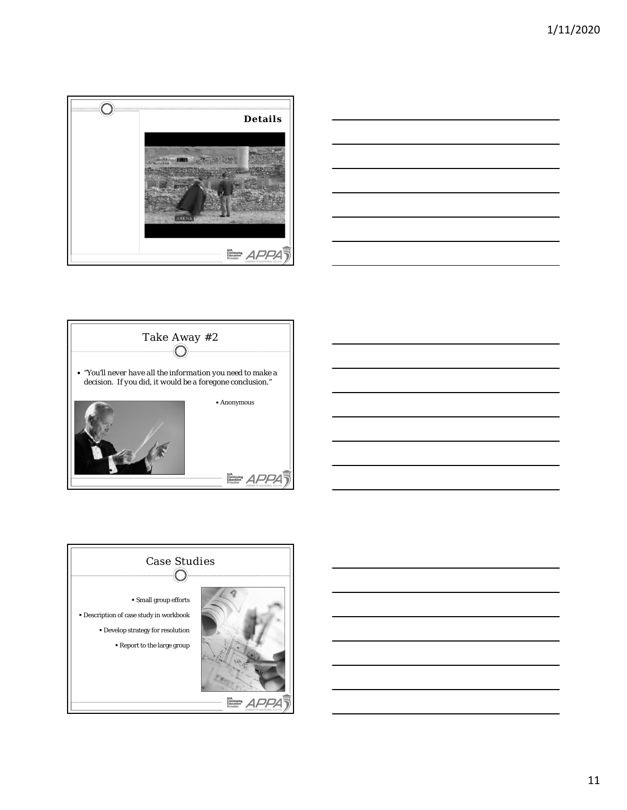







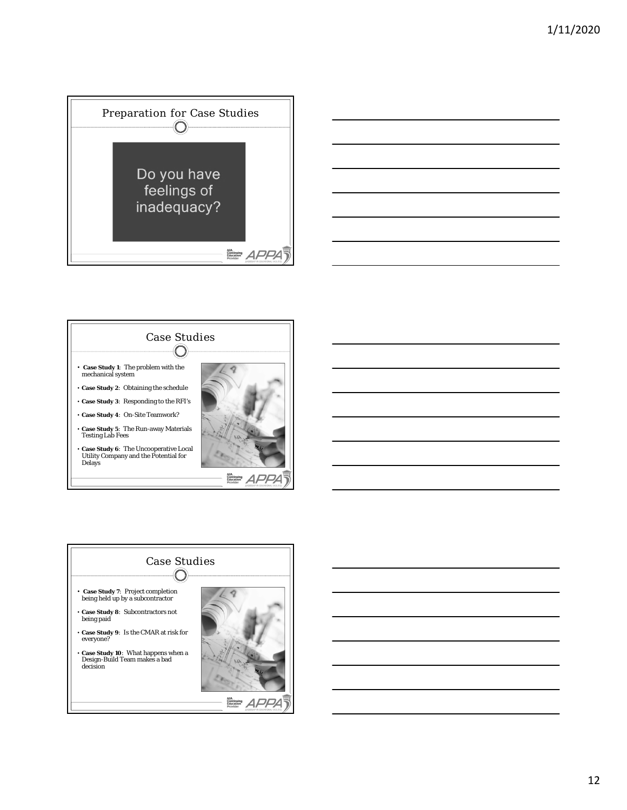